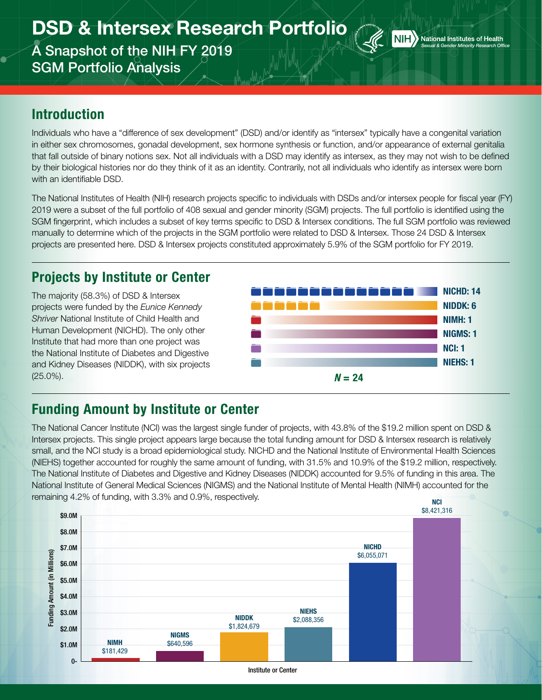# DSD & Intersex Research Portfolio

A Snapshot of the NIH FY 2019 SGM Portfolio Analysis



#### Introduction

Individuals who have a "difference of sex development" (DSD) and/or identify as "intersex" typically have a congenital variation in either sex chromosomes, gonadal development, sex hormone synthesis or function, and/or appearance of external genitalia that fall outside of binary notions sex. Not all individuals with a DSD may identify as intersex, as they may not wish to be defined by their biological histories nor do they think of it as an identity. Contrarily, not all individuals who identify as intersex were born with an identifiable DSD.

The National Institutes of Health (NIH) research projects specific to individuals with DSDs and/or intersex people for fiscal year (FY) 2019 were a subset of the full portfolio of 408 sexual and gender minority (SGM) projects. The full portfolio is identified using the SGM fingerprint, which includes a subset of key terms specific to DSD & Intersex conditions. The full SGM portfolio was reviewed manually to determine which of the projects in the SGM portfolio were related to DSD & Intersex. Those 24 DSD & Intersex projects are presented here. DSD & Intersex projects constituted approximately 5.9% of the SGM portfolio for FY 2019.

## Projects by Institute or Center

The majority (58.3%) of DSD & Intersex projects were funded by the *Eunice Kennedy Shriver* National Institute of Child Health and Human Development (NICHD). The only other Institute that had more than one project was the National Institute of Diabetes and Digestive and Kidney Diseases (NIDDK), with six projects (25.0%). *N* = 24



#### Funding Amount by Institute or Center

The National Cancer Institute (NCI) was the largest single funder of projects, with 43.8% of the \$19.2 million spent on DSD & Intersex projects. This single project appears large because the total funding amount for DSD & Intersex research is relatively small, and the NCI study is a broad epidemiological study. NICHD and the National Institute of Environmental Health Sciences (NIEHS) together accounted for roughly the same amount of funding, with 31.5% and 10.9% of the \$19.2 million, respectively. The National Institute of Diabetes and Digestive and Kidney Diseases (NIDDK) accounted for 9.5% of funding in this area. The National Institute of General Medical Sciences (NIGMS) and the National Institute of Mental Health (NIMH) accounted for the remaining 4.2% of funding, with 3.3% and 0.9%, respectively. NCI